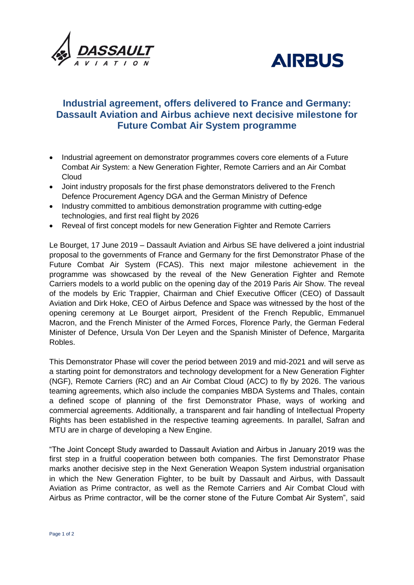



# **Industrial agreement, offers delivered to France and Germany: Dassault Aviation and Airbus achieve next decisive milestone for Future Combat Air System programme**

- Industrial agreement on demonstrator programmes covers core elements of a Future Combat Air System: a New Generation Fighter, Remote Carriers and an Air Combat **Cloud**
- Joint industry proposals for the first phase demonstrators delivered to the French Defence Procurement Agency DGA and the German Ministry of Defence
- Industry committed to ambitious demonstration programme with cutting-edge technologies, and first real flight by 2026
- Reveal of first concept models for new Generation Fighter and Remote Carriers

Le Bourget, 17 June 2019 – Dassault Aviation and Airbus SE have delivered a joint industrial proposal to the governments of France and Germany for the first Demonstrator Phase of the Future Combat Air System (FCAS). This next major milestone achievement in the programme was showcased by the reveal of the New Generation Fighter and Remote Carriers models to a world public on the opening day of the 2019 Paris Air Show. The reveal of the models by Eric Trappier, Chairman and Chief Executive Officer (CEO) of Dassault Aviation and Dirk Hoke, CEO of Airbus Defence and Space was witnessed by the host of the opening ceremony at Le Bourget airport, President of the French Republic, Emmanuel Macron, and the French Minister of the Armed Forces, Florence Parly, the German Federal Minister of Defence, Ursula Von Der Leyen and the Spanish Minister of Defence, Margarita Robles.

This Demonstrator Phase will cover the period between 2019 and mid-2021 and will serve as a starting point for demonstrators and technology development for a New Generation Fighter (NGF), Remote Carriers (RC) and an Air Combat Cloud (ACC) to fly by 2026. The various teaming agreements, which also include the companies MBDA Systems and Thales, contain a defined scope of planning of the first Demonstrator Phase, ways of working and commercial agreements. Additionally, a transparent and fair handling of Intellectual Property Rights has been established in the respective teaming agreements. In parallel, Safran and MTU are in charge of developing a New Engine.

"The Joint Concept Study awarded to Dassault Aviation and Airbus in January 2019 was the first step in a fruitful cooperation between both companies. The first Demonstrator Phase marks another decisive step in the Next Generation Weapon System industrial organisation in which the New Generation Fighter, to be built by Dassault and Airbus, with Dassault Aviation as Prime contractor, as well as the Remote Carriers and Air Combat Cloud with Airbus as Prime contractor, will be the corner stone of the Future Combat Air System", said